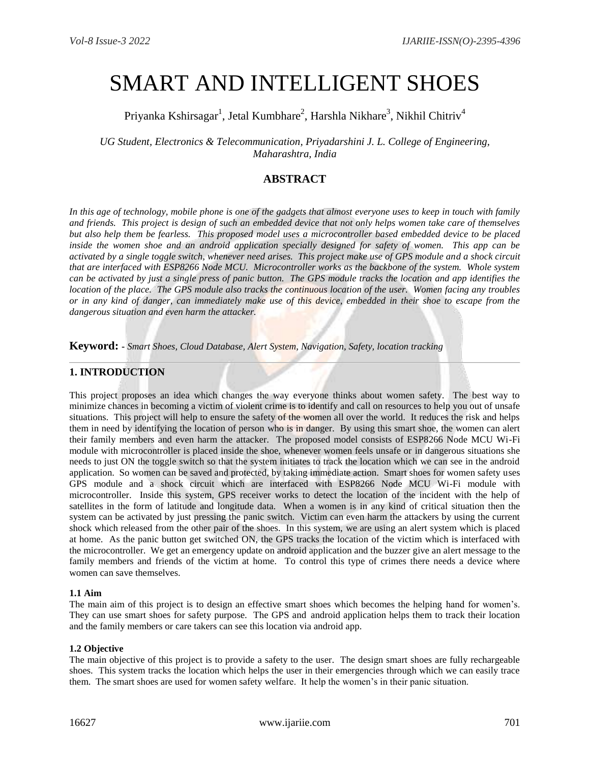# SMART AND INTELLIGENT SHOES

Priyanka Kshirsagar $^1$ , Jetal Kumbhare $^2$ , Harshla Nikhare $^3$ , Nikhil Chitriv $^4$ 

*UG Student, Electronics & Telecommunication, Priyadarshini J. L. College of Engineering, Maharashtra, India*

## **ABSTRACT**

*In this age of technology, mobile phone is one of the gadgets that almost everyone uses to keep in touch with family and friends. This project is design of such an embedded device that not only helps women take care of themselves but also help them be fearless. This proposed model uses a microcontroller based embedded device to be placed inside the women shoe and an android application specially designed for safety of women. This app can be activated by a single toggle switch, whenever need arises. This project make use of GPS module and a shock circuit that are interfaced with ESP8266 Node MCU. Microcontroller works as the backbone of the system. Whole system can be activated by just a single press of panic button. The GPS module tracks the location and app identifies the location of the place. The GPS module also tracks the continuous location of the user. Women facing any troubles or in any kind of danger, can immediately make use of this device, embedded in their shoe to escape from the dangerous situation and even harm the attacker.* 

**Keyword: -** *Smart Shoes, Cloud Database, Alert System, Navigation, Safety, location tracking*

### **1. INTRODUCTION**

This project proposes an idea which changes the way everyone thinks about women safety. The best way to minimize chances in becoming a victim of violent crime is to identify and call on resources to help you out of unsafe situations. This project will help to ensure the safety of the women all over the world. It reduces the risk and helps them in need by identifying the location of person who is in danger. By using this smart shoe, the women can alert their family members and even harm the attacker. The proposed model consists of ESP8266 Node MCU Wi-Fi module with microcontroller is placed inside the shoe, whenever women feels unsafe or in dangerous situations she needs to just ON the toggle switch so that the system initiates to track the location which we can see in the android application. So women can be saved and protected, by taking immediate action. Smart shoes for women safety uses GPS module and a shock circuit which are interfaced with ESP8266 Node MCU Wi-Fi module with microcontroller. Inside this system, GPS receiver works to detect the location of the incident with the help of satellites in the form of latitude and longitude data. When a women is in any kind of critical situation then the system can be activated by just pressing the panic switch. Victim can even harm the attackers by using the current shock which released from the other pair of the shoes. In this system, we are using an alert system which is placed at home. As the panic button get switched ON, the GPS tracks the location of the victim which is interfaced with the microcontroller. We get an emergency update on android application and the buzzer give an alert message to the family members and friends of the victim at home. To control this type of crimes there needs a device where women can save themselves.

#### **1.1 Aim**

The main aim of this project is to design an effective smart shoes which becomes the helping hand for women's. They can use smart shoes for safety purpose. The GPS and android application helps them to track their location and the family members or care takers can see this location via android app.

#### **1.2 Objective**

The main objective of this project is to provide a safety to the user. The design smart shoes are fully rechargeable shoes. This system tracks the location which helps the user in their emergencies through which we can easily trace them. The smart shoes are used for women safety welfare. It help the women's in their panic situation.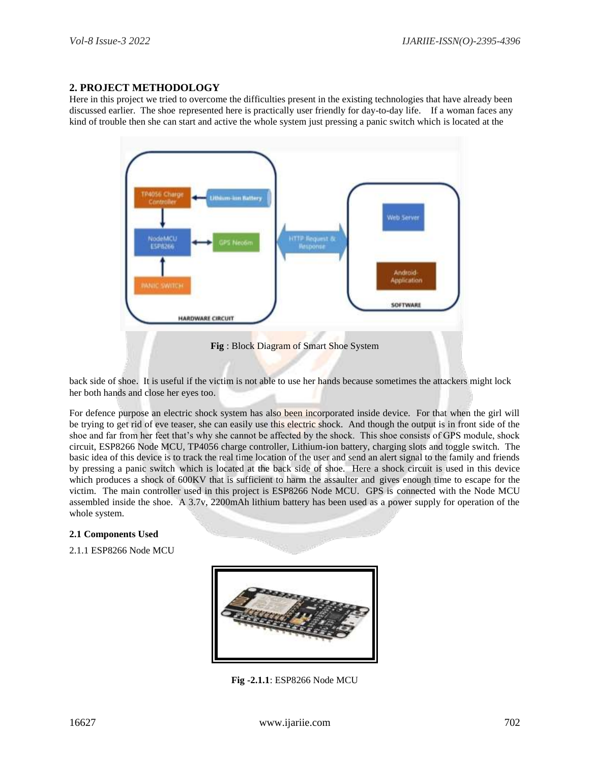## **2. PROJECT METHODOLOGY**

Here in this project we tried to overcome the difficulties present in the existing technologies that have already been discussed earlier. The shoe represented here is practically user friendly for day-to-day life. If a woman faces any kind of trouble then she can start and active the whole system just pressing a panic switch which is located at the



back side of shoe. It is useful if the victim is not able to use her hands because sometimes the attackers might lock her both hands and close her eyes too.

For defence purpose an electric shock system has also been incorporated inside device. For that when the girl will be trying to get rid of eve teaser, she can easily use this electric shock. And though the output is in front side of the shoe and far from her feet that's why she cannot be affected by the shock. This shoe consists of GPS module, shock circuit, ESP8266 Node MCU, TP4056 charge controller, Lithium-ion battery, charging slots and toggle switch. The basic idea of this device is to track the real time location of the user and send an alert signal to the family and friends by pressing a panic switch which is located at the back side of shoe. Here a shock circuit is used in this device which produces a shock of 600KV that is sufficient to harm the assaulter and gives enough time to escape for the victim. The main controller used in this project is ESP8266 Node MCU. GPS is connected with the Node MCU assembled inside the shoe. A 3.7v, 2200mAh lithium battery has been used as a power supply for operation of the whole system.

#### **2.1 Components Used**

2.1.1 ESP8266 Node MCU



 **Fig -2.1.1**: ESP8266 Node MCU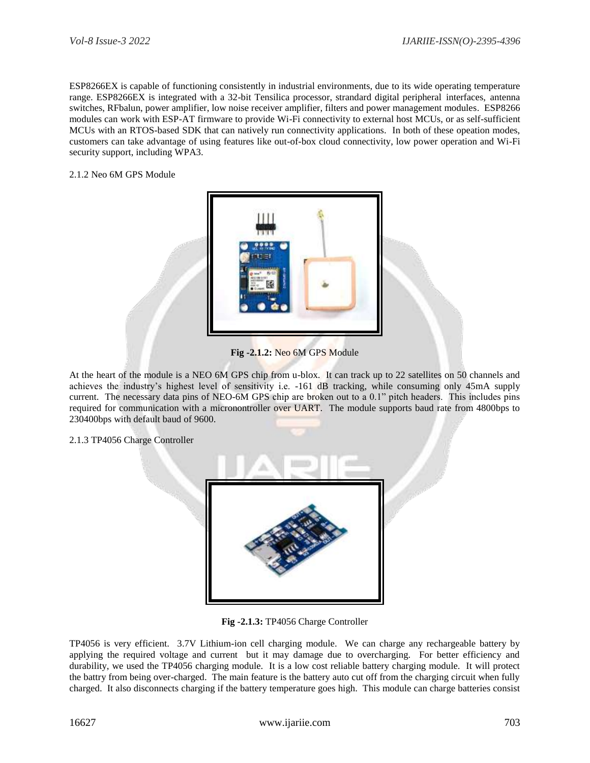ESP8266EX is capable of functioning consistently in industrial environments, due to its wide operating temperature range. ESP8266EX is integrated with a 32-bit Tensilica processor, strandard digital peripheral interfaces, antenna switches, RFbalun, power amplifier, low noise receiver amplifier, filters and power management modules. ESP8266 modules can work with ESP-AT firmware to provide Wi-Fi connectivity to external host MCUs, or as self-sufficient MCUs with an RTOS-based SDK that can natively run connectivity applications. In both of these opeation modes, customers can take advantage of using features like out-of-box cloud connectivity, low power operation and Wi-Fi security support, including WPA3.

2.1.2 Neo 6M GPS Module



**Fig -2.1.2:** Neo 6M GPS Module

At the heart of the module is a NEO 6M GPS chip from u-blox. It can track up to 22 satellites on 50 channels and achieves the industry's highest level of sensitivity i.e. -161 dB tracking, while consuming only 45mA supply current. The necessary data pins of NEO-6M GPS chip are broken out to a 0.1" pitch headers. This includes pins required for communication with a micronontroller over UART. The module supports baud rate from 4800bps to 230400bps with default baud of 9600.

2.1.3 TP4056 Charge Controller



**Fig -2.1.3:** TP4056 Charge Controller

TP4056 is very efficient. 3.7V Lithium-ion cell charging module. We can charge any rechargeable battery by applying the required voltage and current but it may damage due to overcharging. For better efficiency and durability, we used the TP4056 charging module. It is a low cost reliable battery charging module. It will protect the battry from being over-charged. The main feature is the battery auto cut off from the charging circuit when fully charged. It also disconnects charging if the battery temperature goes high. This module can charge batteries consist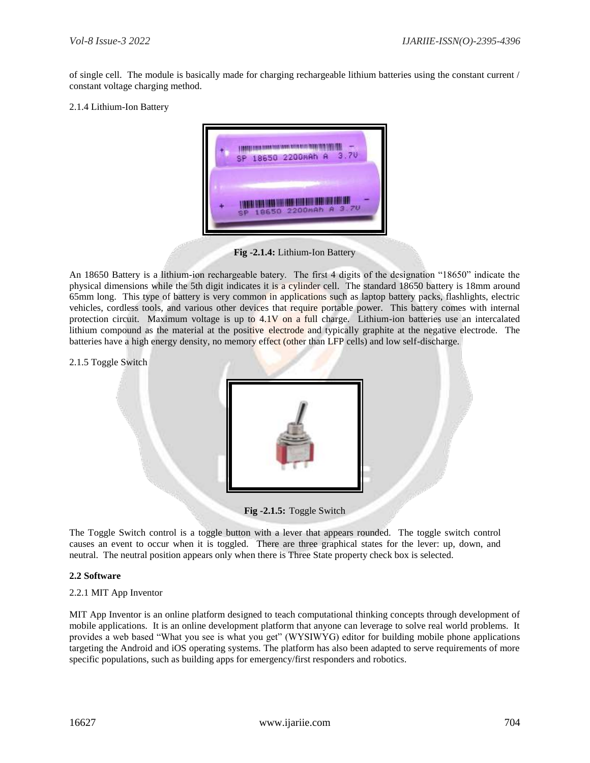of single cell. The module is basically made for charging rechargeable lithium batteries using the constant current / constant voltage charging method.

#### 2.1.4 Lithium-Ion Battery



**Fig -2.1.4:** Lithium-Ion Battery

An 18650 Battery is a lithium-ion rechargeable batery. The first 4 digits of the designation "18650" indicate the physical dimensions while the 5th digit indicates it is a cylinder cell. The standard 18650 battery is 18mm around 65mm long. This type of battery is very common in applications such as laptop battery packs, flashlights, electric vehicles, cordless tools, and various other devices that require portable power. This battery comes with internal protection circuit. Maximum voltage is up to 4.1V on a full charge. Lithium-ion batteries use an intercalated lithium compound as the material at the positive electrode and typically graphite at the negative electrode. The batteries have a high energy density, no memory effect (other than LFP cells) and low self-discharge.

2.1.5 Toggle Switch



**Fig -2.1.5:** Toggle Switch

The Toggle Switch control is a toggle button with a lever that appears rounded. The toggle switch control causes an event to occur when it is toggled. There are three graphical states for the lever: up, down, and neutral. The neutral position appears only when there is Three State property check box is selected.

#### **2.2 Software**

#### 2.2.1 MIT App Inventor

MIT App Inventor is an online platform designed to teach computational thinking concepts through development of mobile applications. It is an online development platform that anyone can leverage to solve real world problems. It provides a web based "What you see is what you get" (WYSIWYG) editor for building mobile phone applications targeting the Android and iOS operating systems. The platform has also been adapted to serve requirements of more specific populations, such as building apps for emergency/first responders and robotics.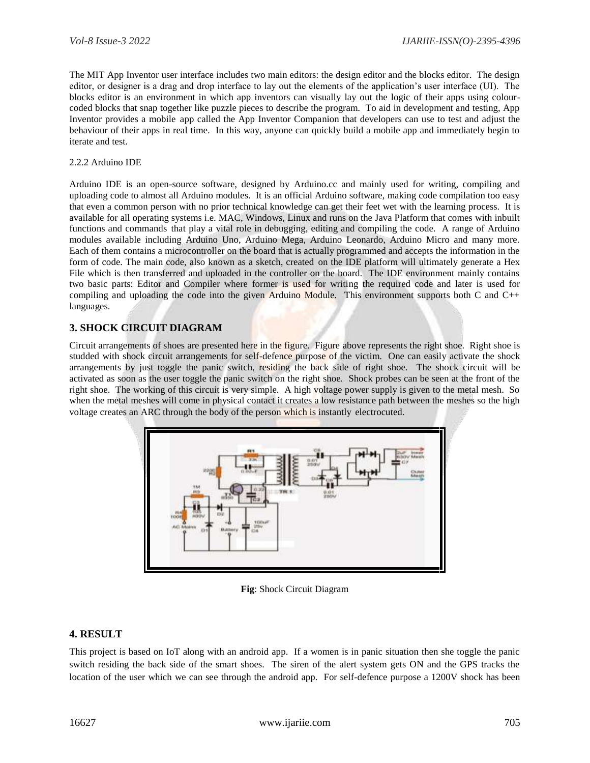The MIT App Inventor user interface includes two main editors: the design editor and the blocks editor. The design editor, or designer is a drag and drop interface to lay out the elements of the application's user interface (UI). The blocks editor is an environment in which app inventors can visually lay out the logic of their apps using colourcoded blocks that snap together like puzzle pieces to describe the program. To aid in development and testing, App Inventor provides a mobile app called the App Inventor Companion that developers can use to test and adjust the behaviour of their apps in real time. In this way, anyone can quickly build a mobile app and immediately begin to iterate and test.

#### 2.2.2 Arduino IDE

Arduino IDE is an open-source software, designed by Arduino.cc and mainly used for writing, compiling and uploading code to almost all Arduino modules. It is an official Arduino software, making code compilation too easy that even a common person with no prior technical knowledge can get their feet wet with the learning process. It is available for all operating systems i.e. MAC, Windows, Linux and runs on the Java Platform that comes with inbuilt functions and commands that play a vital role in debugging, editing and compiling the code. A range of Arduino modules available including Arduino Uno, Arduino Mega, Arduino Leonardo, Arduino Micro and many more. Each of them contains a microcontroller on the board that is actually programmed and accepts the information in the form of code. The main code, also known as a sketch, created on the IDE platform will ultimately generate a Hex File which is then transferred and uploaded in the controller on the board. The IDE environment mainly contains two basic parts: Editor and Compiler where former is used for writing the required code and later is used for compiling and uploading the code into the given Arduino Module. This environment supports both C and C++ languages.

## **3. SHOCK CIRCUIT DIAGRAM**

Circuit arrangements of shoes are presented here in the figure. Figure above represents the right shoe. Right shoe is studded with shock circuit arrangements for self-defence purpose of the victim. One can easily activate the shock arrangements by just toggle the panic switch, residing the back side of right shoe. The shock circuit will be activated as soon as the user toggle the panic switch on the right shoe. Shock probes can be seen at the front of the right shoe. The working of this circuit is very simple. A high voltage power supply is given to the metal mesh. So when the metal meshes will come in physical contact it creates a low resistance path between the meshes so the high voltage creates an ARC through the body of the person which is instantly electrocuted.



**Fig**: Shock Circuit Diagram

## **4. RESULT**

This project is based on IoT along with an android app. If a women is in panic situation then she toggle the panic switch residing the back side of the smart shoes. The siren of the alert system gets ON and the GPS tracks the location of the user which we can see through the android app. For self-defence purpose a 1200V shock has been